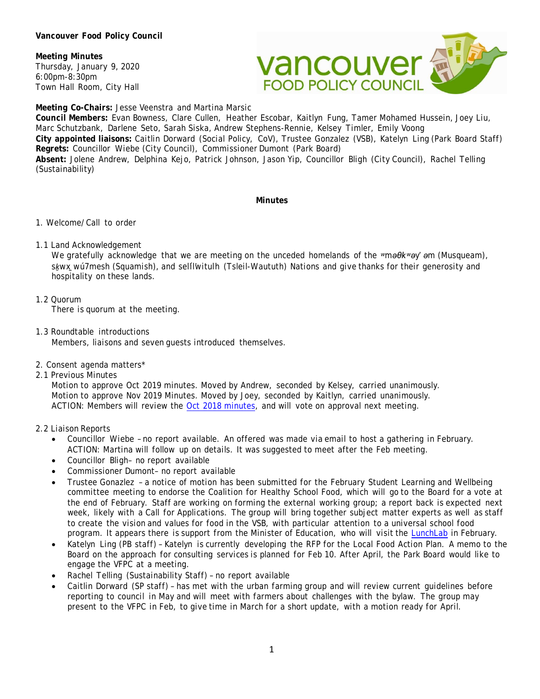**Vancouver Food Policy Council** 

## **Meeting Minutes**

Thursday, January 9, 2020 6:00pm-8:30pm Town Hall Room, City Hall



**Meeting Co-Chairs:** Jesse Veenstra and Martina Marsic

**Council Members:** Evan Bowness, Clare Cullen, Heather Escobar, Kaitlyn Fung, Tamer Mohamed Hussein, Joey Liu, Marc Schutzbank, Darlene Seto, Sarah Siska, Andrew Stephens-Rennie, Kelsey Timler, Emily Voong **City appointed liaisons:** Caitlin Dorward (Social Policy, CoV), Trustee Gonzalez (VSB), Katelyn Ling (Park Board Staff) **Regrets:** Councillor Wiebe (City Council), Commissioner Dumont (Park Board) **Absent:** Jolene Andrew, Delphina Kejo, Patrick Johnson, Jason Yip, Councillor Bligh (City Council), Rachel Telling (Sustainability)

## **Minutes**

- 1. Welcome/Call to order
- 1.1 Land Acknowledgement

We gratefully acknowledge that we are meeting on the unceded homelands of the *ʷməθkʷəy̓ əm* (Musqueam), *sḵwx̱wú7mesh* (Squamish), and *sel̓íl̓witulh* (Tsleil-Waututh) Nations and give thanks for their generosity and hospitality on these lands.

1.2 Quorum

There is quorum at the meeting.

1.3 Roundtable introductions

Members, liaisons and seven guests introduced themselves.

- 2. Consent agenda matters\*
- 2.1 Previous Minutes

Motion to approve Oct 2019 minutes. Moved by Andrew, seconded by Kelsey, carried unanimously. Motion to approve Nov 2019 Minutes. Moved by Joey, seconded by Kaitlyn, carried unanimously. ACTION: Members will review the [Oct 2018 minutes,](http://www.vancouverfoodpolicycouncil.ca/wp-content/uploads/2019/10/VFPC-Oct-2018-Minutes-draft.pdf) and will vote on approval next meeting.

- 2.2 Liaison Reports
	- Councillor Wiebe no report available. An offered was made via email to host a gathering in February. ACTION: Martina will follow up on details. It was suggested to meet after the Feb meeting.
	- Councillor Bligh– no report available
	- Commissioner Dumont– no report available
	- Trustee Gonazlez a notice of motion has been submitted for the February Student Learning and Wellbeing committee meeting to endorse the Coalition for Healthy School Food, which will go to the Board for a vote at the end of February. Staff are working on forming the external working group; a report back is expected next week, likely with a Call for Applications. The group will bring together subject matter experts as well as staff to create the vision and values for food in the VSB, with particular attention to a universal school food program. It appears there is support from the Minister of Education, who will visit the [LunchLab](https://lunchlab.ca/) in February.
	- Katelyn Ling (PB staff) Katelyn is currently developing the RFP for the Local Food Action Plan. A memo to the Board on the approach for consulting services is planned for Feb 10. After April, the Park Board would like to engage the VFPC at a meeting.
	- Rachel Telling (Sustainability Staff) no report available
	- Caitlin Dorward (SP staff) has met with the urban farming group and will review current guidelines before reporting to council in May and will meet with farmers about challenges with the bylaw. The group may present to the VFPC in Feb, to give time in March for a short update, with a motion ready for April.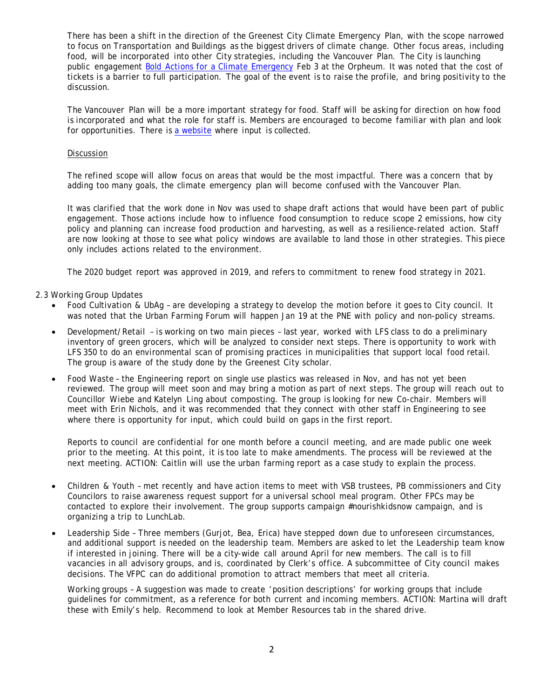There has been a shift in the direction of the Greenest City Climate Emergency Plan, with the scope narrowed to focus on Transportation and Buildings as the biggest drivers of climate change. Other focus areas, including food, will be incorporated into other City strategies, including the Vancouver Plan. The City is launching public engagement [Bold Actions for a Climate Emergency](https://www.eventbrite.com/e/bold-actions-for-a-climate-emergency-tickets-68823877069) Feb 3 at the Orpheum. It was noted that the cost of tickets is a barrier to full participation. The goal of the event is to raise the profile, and bring positivity to the discussion.

The Vancouver Plan will be a more important strategy for food. Staff will be asking for direction on how food is incorporated and what the role for staff is. Members are encouraged to become familiar with plan and look for opportunities. There is [a website](https://vancouver.ca/home-property-development/vancouver-city-wide-plan.aspx) where input is collected.

#### Discussion

The refined scope will allow focus on areas that would be the most impactful. There was a concern that by adding too many goals, the climate emergency plan will become confused with the Vancouver Plan.

It was clarified that the work done in Nov was used to shape draft actions that would have been part of public engagement. Those actions include how to influence food consumption to reduce scope 2 emissions, how city policy and planning can increase food production and harvesting, as well as a resilience-related action. Staff are now looking at those to see what policy windows are available to land those in other strategies. This piece only includes actions related to the environment.

The 2020 budget report was approved in 2019, and refers to commitment to renew food strategy in 2021.

#### 2.3 Working Group Updates

- Food Cultivation & UbAg are developing a strategy to develop the motion before it goes to City council. It was noted that the Urban Farming Forum will happen Jan 19 at the PNE with policy and non-policy streams.
- Development/Retail is working on two main pieces last year, worked with LFS class to do a preliminary inventory of green grocers, which will be analyzed to consider next steps. There is opportunity to work with LFS 350 to do an environmental scan of promising practices in municipalities that support local food retail. The group is aware of the study done by the Greenest City scholar.
- Food Waste the Engineering report on single use plastics was released in Nov, and has not yet been reviewed. The group will meet soon and may bring a motion as part of next steps. The group will reach out to Councillor Wiebe and Katelyn Ling about composting. The group is looking for new Co-chair. Members will meet with Erin Nichols, and it was recommended that they connect with other staff in Engineering to see where there is opportunity for input, which could build on gaps in the first report.

Reports to council are confidential for one month before a council meeting, and are made public one week prior to the meeting. At this point, it is too late to make amendments. The process will be reviewed at the next meeting. ACTION: Caitlin will use the urban farming report as a case study to explain the process.

- Children & Youth met recently and have action items to meet with VSB trustees, PB commissioners and City Councilors to raise awareness request support for a universal school meal program. Other FPCs may be contacted to explore their involvement. The group supports campaign #nourishkidsnow campaign, and is organizing a trip to LunchLab.
- Leadership Side Three members (Gurjot, Bea, Erica) have stepped down due to unforeseen circumstances, and additional support is needed on the leadership team. Members are asked to let the Leadership team know if interested in joining. There will be a city-wide call around April for new members. The call is to fill vacancies in all advisory groups, and is, coordinated by Clerk's office. A subcommittee of City council makes decisions. The VFPC can do additional promotion to attract members that meet all criteria.

Working groups - A suggestion was made to create 'position descriptions' for working groups that include guidelines for commitment, as a reference for both current and incoming members. ACTION: Martina will draft these with Emily's help. Recommend to look at Member Resources tab in the shared drive.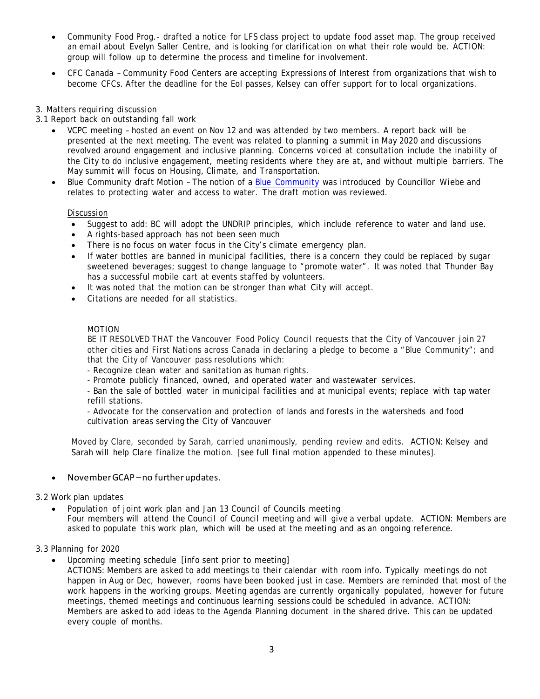- Community Food Prog.- drafted a notice for LFS class project to update food asset map. The group received an email about Evelyn Saller Centre, and is looking for clarification on what their role would be. ACTION: group will follow up to determine the process and timeline for involvement.
- CFC Canada Community Food Centers are accepting Expressions of Interest from organizations that wish to become CFCs. After the deadline for the EoI passes, Kelsey can offer support for to local organizations.

## 3. Matters requiring discussion

3.1 Report back on outstanding fall work

- VCPC meeting hosted an event on Nov 12 and was attended by two members. A report back will be presented at the next meeting. The event was related to planning a summit in May 2020 and discussions revolved around engagement and inclusive planning. Concerns voiced at consultation include the inability of the City to do inclusive engagement, meeting residents where they are at, and without multiple barriers. The May summit will focus on Housing, Climate, and Transportation.
- Blue Community draft Motion The notion of a [Blue Community](https://canadians.org/bluecommunities) was introduced by Councillor Wiebe and relates to protecting water and access to water. The draft motion was reviewed.

#### Discussion

- Suggest to add: BC will adopt the UNDRIP principles, which include reference to water and land use.
- A rights-based approach has not been seen much
- There is no focus on water focus in the City's climate emergency plan.
- If water bottles are banned in municipal facilities, there is a concern they could be replaced by sugar sweetened beverages; suggest to change language to "promote water". It was noted that Thunder Bay has a successful mobile cart at events staffed by volunteers.
- It was noted that the motion can be stronger than what City will accept.
- Citations are needed for all statistics.

#### MOTION

BE IT RESOLVED THAT the Vancouver Food Policy Council requests that the City of Vancouver join 27 other cities and First Nations across Canada in declaring a pledge to become a "Blue Community"; and that the City of Vancouver pass resolutions which:

- Recognize clean water and sanitation as human rights.

- Promote publicly financed, owned, and operated water and wastewater services.

- Ban the sale of bottled water in municipal facilities and at municipal events; replace with tap water refill stations.

- Advocate for the conservation and protection of lands and forests in the watersheds and food cultivation areas serving the City of Vancouver

Moved by Clare, seconded by Sarah, carried unanimously, pending review and edits. ACTION: Kelsey and Sarah will help Clare finalize the motion. [see full final motion appended to these minutes].

## • November GCAP –no furtherupdates.

## 3.2 Work plan updates

• Population of joint work plan and Jan 13 Council of Councils meeting Four members will attend the Council of Council meeting and will give a verbal update. ACTION: Members are asked to populate this work plan, which will be used at the meeting and as an ongoing reference.

## 3.3 Planning for 2020

- Upcoming meeting schedule [info sent prior to meeting]
	- ACTIONS: Members are asked to add meetings to their calendar with room info. Typically meetings do not happen in Aug or Dec, however, rooms have been booked just in case. Members are reminded that most of the work happens in the working groups. Meeting agendas are currently organically populated, however for future meetings, themed meetings and continuous learning sessions could be scheduled in advance. ACTION: Members are asked to add ideas to the Agenda Planning document in the shared drive. This can be updated every couple of months.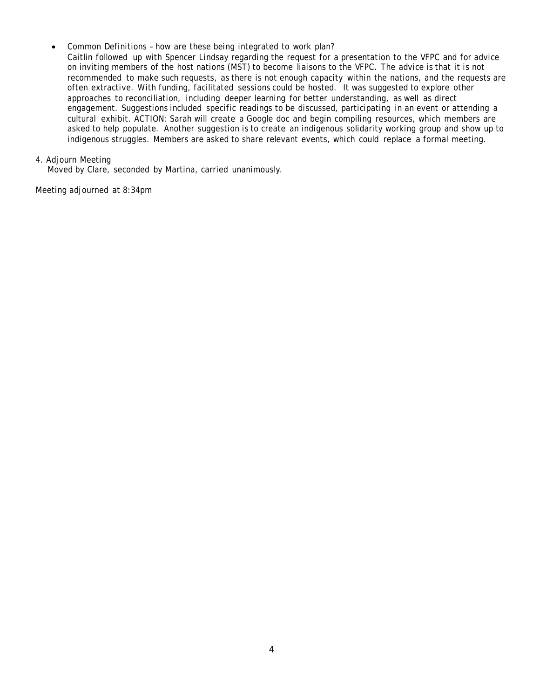- Common Definitions how are these being integrated to work plan?
- Caitlin followed up with Spencer Lindsay regarding the request for a presentation to the VFPC and for advice on inviting members of the host nations (MST) to become liaisons to the VFPC. The advice is that it is not recommended to make such requests, as there is not enough capacity within the nations, and the requests are often extractive. With funding, facilitated sessions could be hosted. It was suggested to explore other approaches to reconciliation, including deeper learning for better understanding, as well as direct engagement. Suggestions included specific readings to be discussed, participating in an event or attending a cultural exhibit. ACTION: Sarah will create a Google doc and begin compiling resources, which members are asked to help populate. Another suggestion is to create an indigenous solidarity working group and show up to indigenous struggles. Members are asked to share relevant events, which could replace a formal meeting.

## 4. Adjourn Meeting

Moved by Clare, seconded by Martina, carried unanimously.

Meeting adjourned at 8:34pm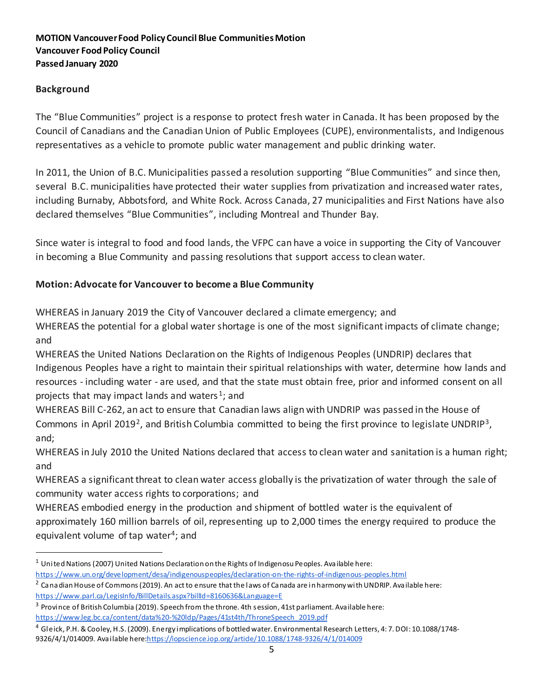# **MOTION Vancouver Food Policy Council Blue Communities Motion Vancouver Food Policy Council Passed January 2020**

# **Background**

The "Blue Communities" project is a response to protect fresh water in Canada. It has been proposed by the Council of Canadians and the Canadian Union of Public Employees (CUPE), environmentalists, and Indigenous representatives as a vehicle to promote public water management and public drinking water.

In 2011, the Union of B.C. Municipalities passed a resolution supporting "Blue Communities" and since then, several B.C. municipalities have protected their water supplies from privatization and increased water rates, including Burnaby, Abbotsford, and White Rock. Across Canada, 27 municipalities and First Nations have also declared themselves "Blue Communities", including Montreal and Thunder Bay.

Since water is integral to food and food lands, the VFPC can have a voice in supporting the City of Vancouver in becoming a Blue Community and passing resolutions that support access to clean water.

# **Motion: Advocate for Vancouver to become a Blue Community**

WHEREAS in January 2019 the City of Vancouver declared a climate emergency; and

WHEREAS the potential for a global water shortage is one of the most significant impacts of climate change; and

WHEREAS the United Nations Declaration on the Rights of Indigenous Peoples (UNDRIP) declares that Indigenous Peoples have a right to maintain their spiritual relationships with water, determine how lands and resources - including water - are used, and that the state must obtain free, prior and informed consent on all projects that may impact lands and waters<sup>[1](#page-4-0)</sup>; and

WHEREAS Bill C-262, an act to ensure that Canadian laws align with UNDRIP was passed in the House of Commons in April [2](#page-4-1)019<sup>2</sup>, and British Columbia committed to being the first province to legislate UNDRIP<sup>[3](#page-4-2)</sup>, and;

WHEREAS in July 2010 the United Nations declared that access to clean water and sanitation is a human right; and

WHEREAS a significant threat to clean water access globally is the privatization of water through the sale of community water access rights to corporations; and

WHEREAS embodied energy in the production and shipment of bottled water is the equivalent of approximately 160 million barrels of oil, representing up to 2,000 times the energy required to produce the equivalent volume of tap water<sup>[4](#page-4-3)</sup>; and

<span id="page-4-0"></span> $1$  United Nations (2007) United Nations Declaration on the Rights of Indigenosu Peoples. Available here: <https://www.un.org/development/desa/indigenouspeoples/declaration-on-the-rights-of-indigenous-peoples.html>

<span id="page-4-1"></span> $^2$  Canadian House of Commons (2019). An act to ensure that the laws of Canada are in harmony with UNDRIP. Available here: <https://www.parl.ca/LegisInfo/BillDetails.aspx?billId=8160636&Language=E>

<span id="page-4-2"></span> $3$  Province of British Columbia (2019). Speech from the throne. 4th session, 41st parliament. Available here: [https://www.leg.bc.ca/content/data%20-%20ldp/Pages/41st4th/ThroneSpeech\\_2019.pdf](https://www.leg.bc.ca/content/data%20-%20ldp/Pages/41st4th/ThroneSpeech_2019.pdf)

<span id="page-4-3"></span><sup>&</sup>lt;sup>4</sup> Gleick, P.H. & Cooley, H.S. (2009). Energy implications of bottled water. Environmental Research Letters, 4: 7. DOI: 10.1088/1748-9326/4/1/014009. Available here:https://iopscience.iop.org/artide/10.1088/1748-9326/4/1/014009